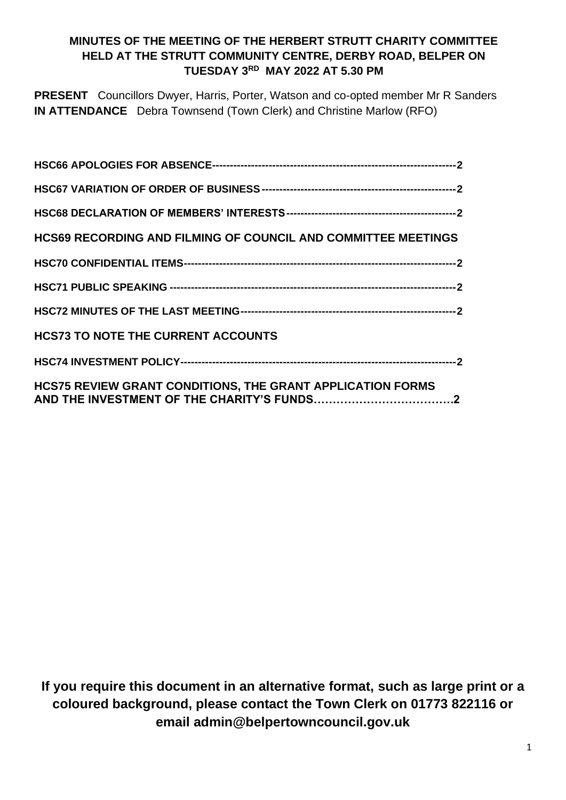# **MINUTES OF THE MEETING OF THE HERBERT STRUTT CHARITY COMMITTEE HELD AT THE STRUTT COMMUNITY CENTRE, DERBY ROAD, BELPER ON TUESDAY 3 RD MAY 2022 AT 5.30 PM**

**PRESENT** Councillors Dwyer, Harris, Porter, Watson and co-opted member Mr R Sanders **IN ATTENDANCE** Debra Townsend (Town Clerk) and Christine Marlow (RFO)

| <b>HCS69 RECORDING AND FILMING OF COUNCIL AND COMMITTEE MEETINGS</b> |
|----------------------------------------------------------------------|
|                                                                      |
|                                                                      |
|                                                                      |
| <b>HCS73 TO NOTE THE CURRENT ACCOUNTS</b>                            |
|                                                                      |
| <b>HCS75 REVIEW GRANT CONDITIONS, THE GRANT APPLICATION FORMS</b>    |

**If you require this document in an alternative format, such as large print or a coloured background, please contact the Town Clerk on 01773 822116 or email admin@belpertowncouncil.gov.uk**